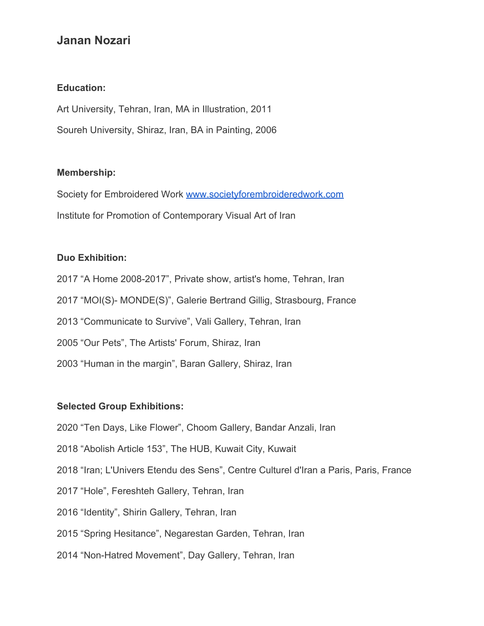# **Janan Nozari**

#### **Education:**

Art University, Tehran, Iran, MA in Illustration, 2011 Soureh University, Shiraz, Iran, BA in Painting, 2006

#### **Membership:**

Society for Embroidered Work [www.societyforembroideredwork.com](http://societyforembroideredwork.com/) Institute for Promotion of Contemporary Visual Art of Iran

## **Duo Exhibition:**

2017 "A Home 2008-2017", Private show, artist's home, Tehran, Iran 2017 "MOI(S)- MONDE(S)", Galerie Bertrand Gillig, Strasbourg, France 2013 "Communicate to Survive", Vali Gallery, Tehran, Iran 2005 "Our Pets", The Artists' Forum, Shiraz, Iran 2003 "Human in the margin", Baran Gallery, Shiraz, Iran

## **Selected Group Exhibitions:**

2020 "Ten Days, Like Flower", Choom Gallery, Bandar Anzali, Iran

2018 "Abolish Article 153", The HUB, Kuwait City, Kuwait

2018 "Iran; L'Univers Etendu des Sens", Centre Culturel d'Iran a Paris, Paris, France

- 2017 "Hole", Fereshteh Gallery, Tehran, Iran
- 2016 "Identity", Shirin Gallery, Tehran, Iran
- 2015 "Spring Hesitance", Negarestan Garden, Tehran, Iran
- 2014 "Non-Hatred Movement", Day Gallery, Tehran, Iran